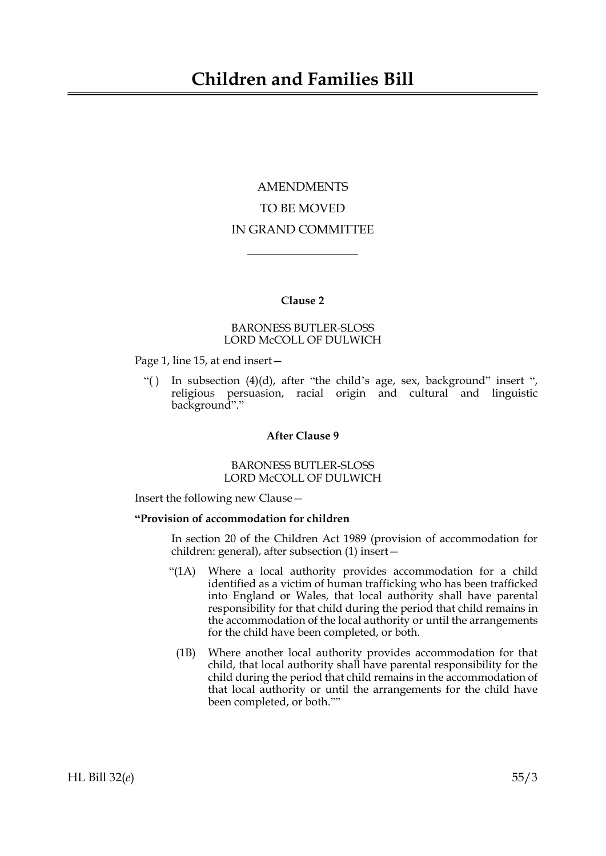# **Children and Families Bill**

# AMENDMENTS TO BE MOVED IN GRAND COMMITTEE

## **Clause 2**

## BARONESS BUTLER-SLOSS LORD McCOLL OF DULWICH

Page 1, line 15, at end insert—

"() In subsection (4)(d), after "the child's age, sex, background" insert ", religious persuasion, racial origin and cultural and linguistic background"."

#### **After Clause 9**

BARONESS BUTLER-SLOSS LORD McCOLL OF DULWICH

Insert the following new Clause—

#### **"Provision of accommodation for children**

In section 20 of the Children Act 1989 (provision of accommodation for children: general), after subsection (1) insert—

- "(1A) Where a local authority provides accommodation for a child identified as a victim of human trafficking who has been trafficked into England or Wales, that local authority shall have parental responsibility for that child during the period that child remains in the accommodation of the local authority or until the arrangements for the child have been completed, or both.
	- (1B) Where another local authority provides accommodation for that child, that local authority shall have parental responsibility for the child during the period that child remains in the accommodation of that local authority or until the arrangements for the child have been completed, or both.""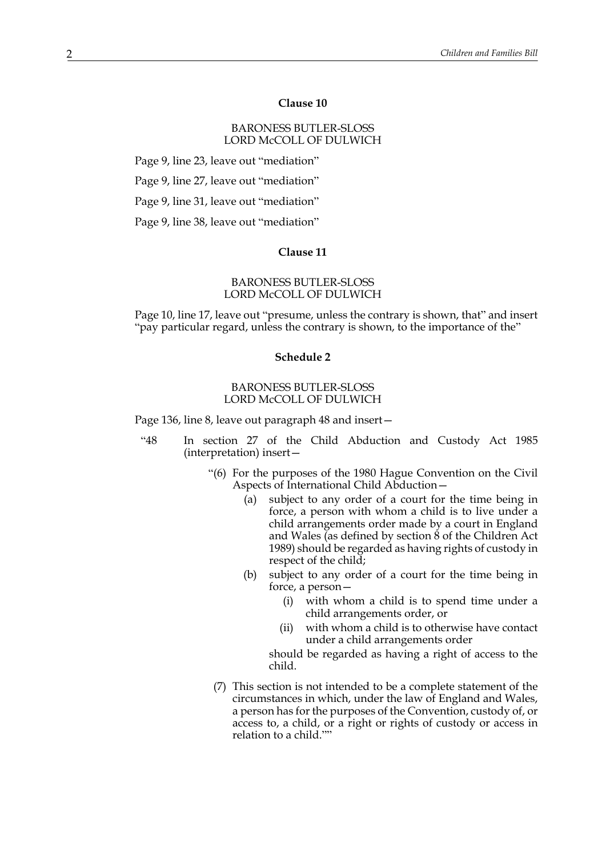#### **Clause 10**

# **Clause 10** BARONESS BUTLER-SLOSS LORD McCOLL OF DULWICH

Page 9, line 23, leave out "mediation"

Page 9, line 27, leave out "mediation"

Page 9, line 31, leave out "mediation"

Page 9, line 38, leave out "mediation"

#### **Clause 11**

#### BARONESS BUTLER-SLOSS LORD McCOLL OF DULWICH

Page 10, line 17, leave out "presume, unless the contrary is shown, that" and insert "pay particular regard, unless the contrary is shown, to the importance of the"

#### **Schedule 2**

#### BARONESS BUTLER-SLOSS LORD McCOLL OF DULWICH

Page 136, line 8, leave out paragraph 48 and insert—

- "48 In section 27 of the Child Abduction and Custody Act 1985 (interpretation) insert—
	- "(6) For the purposes of the 1980 Hague Convention on the Civil Aspects of International Child Abduction—
		- (a) subject to any order of a court for the time being in force, a person with whom a child is to live under a child arrangements order made by a court in England and Wales (as defined by section 8 of the Children Act 1989) should be regarded as having rights of custody in respect of the child;
		- (b) subject to any order of a court for the time being in force, a person—
			- (i) with whom a child is to spend time under a child arrangements order, or
			- (ii) with whom a child is to otherwise have contact under a child arrangements order

should be regarded as having a right of access to the child.

(7) This section is not intended to be a complete statement of the circumstances in which, under the law of England and Wales, a person has for the purposes of the Convention, custody of, or access to, a child, or a right or rights of custody or access in relation to a child.""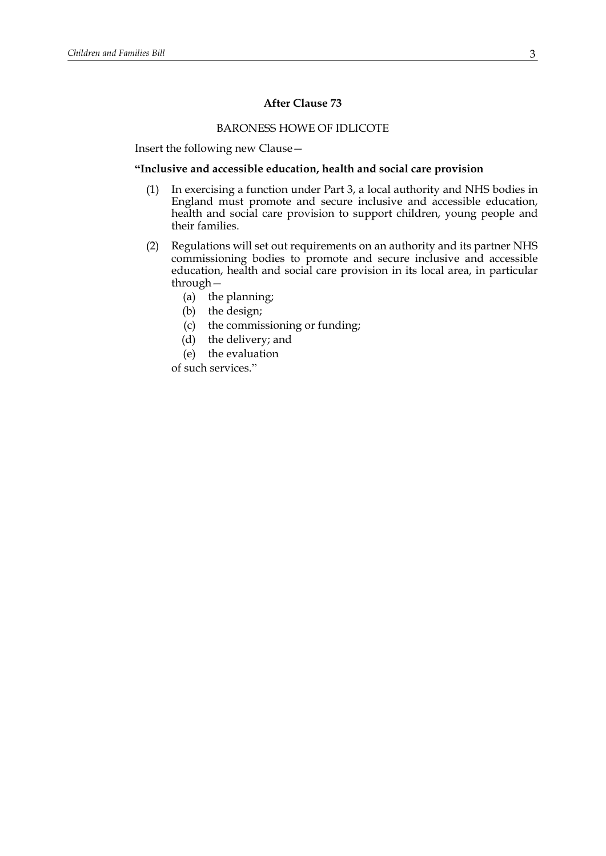## **After Clause 73**

# BARONESS HOWE OF IDLICOTE

Insert the following new Clause—

#### **"Inclusive and accessible education, health and social care provision**

- (1) In exercising a function under Part 3, a local authority and NHS bodies in England must promote and secure inclusive and accessible education, health and social care provision to support children, young people and their families.
- (2) Regulations will set out requirements on an authority and its partner NHS commissioning bodies to promote and secure inclusive and accessible education, health and social care provision in its local area, in particular through—
	- (a) the planning;
	- (b) the design;
	- (c) the commissioning or funding;
	- (d) the delivery; and
	- (e) the evaluation

of such services."